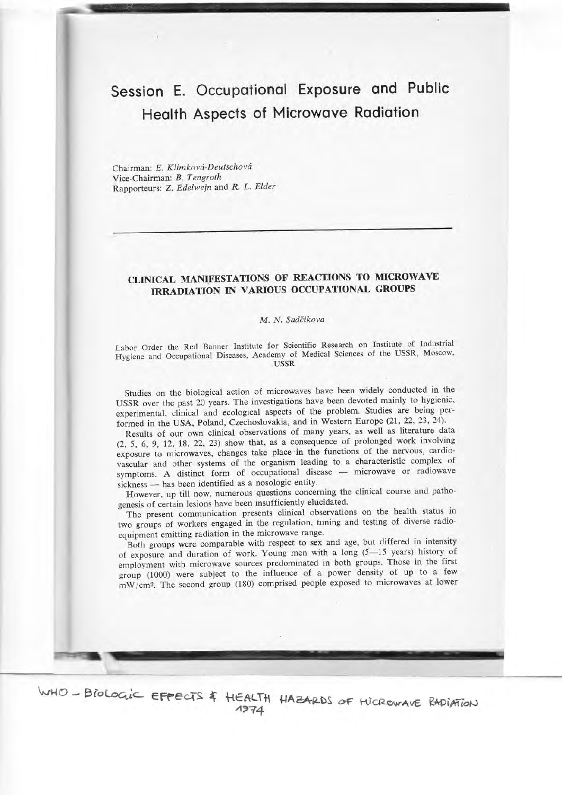# Session E. Occupational Exposure and Public Health Aspects of Microwave Radiation

Chairman: E. Klimková-Deutschová Vice-Chairman: B. Tengroth Rapporteurs: Z. Edelwein and R. L. Elder

# CLINICAL MANIFESTATIONS OF REACTIONS TO MICROWAVE IRRADIATION IN VARIOUS OCCUPATIONAL GROUPS

### M. N. Sadëikova

Labor Order the Red Banner Institute for Scientific Research on Institute of Industrial Hygiene and Occupational Diseases, Academy of Medical Sciences of the USSR, Moscow,

Studies on the biological action of microwaves have been widely conducted in the USSR over the past 20 years. The investigations have been devoted mainly to hygienic, experimental, clinical and ecological aspects of the problem. Studies are being performed in the USA, Poland, Czechoslovakia, and in Western Europe (21, 22, 23, 24).

Results of our own clinical observations of many years, as well as literature data (2, 5, 6,9, 12, L8,22,23) show that, as a consequence of prolonged work involving vascular and other systems of the organism leading to a characteristic complex of exposure to microwaves, changes take place in the functions of the nervous, cardiovascular and other systems or the organizational disease — microwave or radiowave<br>symptoms. A distinct form of occupational disease — microwave or radiowave sickness - has been identified as a nosologic entity.

kness — has been identified as a hosologic entity.<br>However, up till now, numerous questions concerning the clinical course and pathogenesis of certain lesions have been insufficiently elucidated.

The present communication presents clinical observations on the health status in two groups of workers engaged in the regulation, tuning and testing of diverse radioequipment emitting radiation in the microwave range.

Both groups were comparable with respect to sex and age, but differed in intensity of exposure and duration of work. Young men with a long (5-15 years) history of employment with microwave sources predominated in both groups. Those in the first group (1000) were subject to the influence of a power density of up to a few  $mW/cm<sup>2</sup>$ . The second group (180) comprised people exposed to microwaves at lower

WHO - BIOLOGIC EFFECTS & HEALTH HAZARDS OF HICROWAVE RADIATION  $\mathcal{L}$ 

Emri\*ilI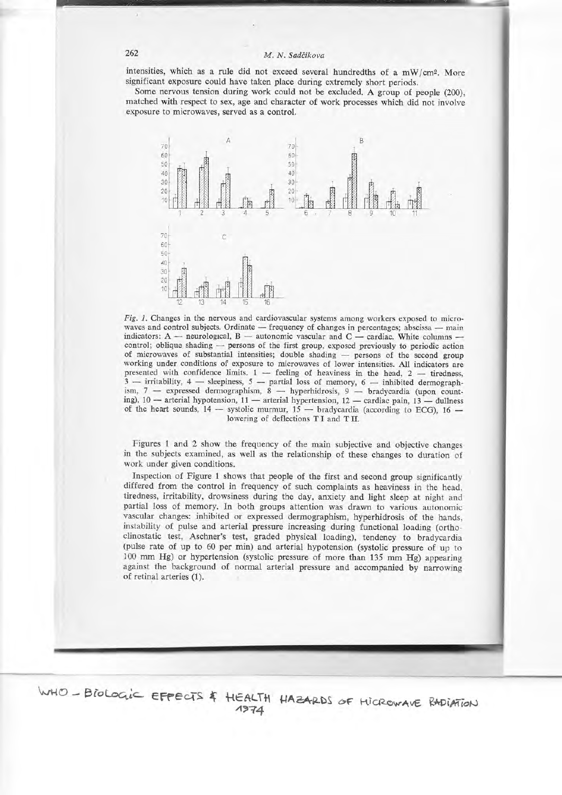### M. N. Sadčikova

intensities, which as a rule did not exceed several hundredths of a mW/cm<sup>2</sup>. More significant exposure could have taken place during extremely short periods.

Some nervous tension during work could not be excluded. A group of people (200), matched with respect to sex, age and character of work processes which did not involve exposure to microwaves, served as a control.



Fig. 1. Changes in the nervous and cardiovascular systems among workers exposed to microwaves and control subjects. Ordinate - frequency of changes in percentages; abscissa - main indicators: A — neurological, B — autonomic vascular and C — cardiac. White columns control; oblique shading - persons of the first group, exposed previously to periodic action of microwaves of substantial intensities; double shading - persons of the second group working under conditions of exposure to microwaves of lower intensities. All indicators are presented with confidence limits.  $1$  - feeling of heaviness in the head,  $2$  - tiredness,  $3$  -- irritability, 4 -- sleepiness, 5 -- partial loss of memory, 6 -- inhibited dermographism,  $7$  - expressed dermographism,  $8$  - hyperhidrosis,  $9$  - bradycardia (upon counting), 10 - arterial hypotension, 11 - arterial hypertension, 12 - cardiac pain, 13 - dullness of the heart sounds,  $14$  - systolic murmur,  $15$  - bradycardia (according to ECG),  $16$  lowering of deflections TI and TII.

Figures 1 and 2 show the frequency of the main subjective and objective changes in the subjects examined, as well as the relationship of these changes to duration of work under given conditions.

Inspection of Figure 1 shows that people of the first and second group significantly differed from the control in frequency of such complaints as heaviness in the head, tiredness, irritability, drowsiness during the day, anxiety and light sleep at night and partial loss of memory. In both groups attention was drawn to various autonomic vascular changes: inhibited or expressed dermographism, hyperhidrosis of the hands, instability of pulse and arterial pressure increasing during functional loading (orthoclinostatic test, Aschner's test, graded physical loading), tendency to bradycardia (pulse rate of up to 60 per min) and arterial hypotension (systolic pressure of up to 100 mm Hg) or hypertension (systolic pressure of more than 135 mm Hg) appearing against the background of normal arterial pressure and accompanied by narrowing of retinal arteries (1).

WHO - BIOLOGIC EFFECTS & HEALTH HAZARDS OF HIGROWAVE RADIATION  $1974$ 

#### 262

ä,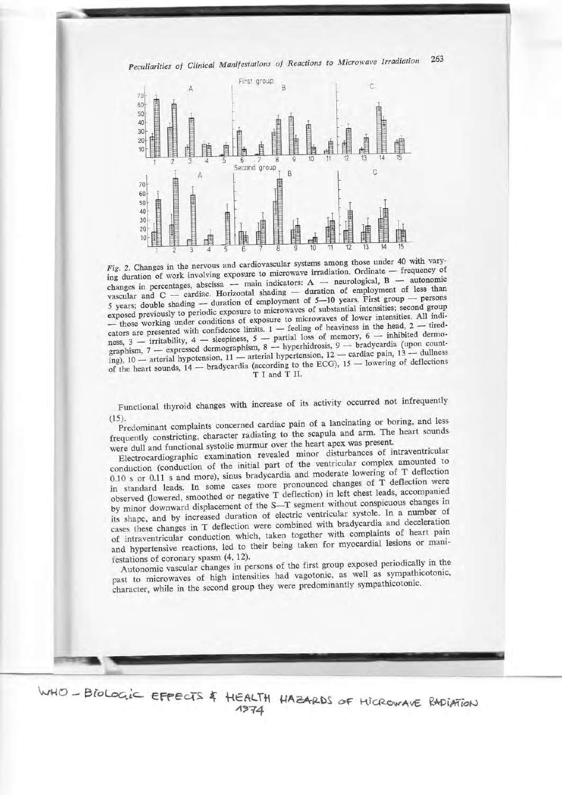Peculiarities of Clinical Manifestations of Reactions to Microwave Irradiation 263



Fig. 2. Changes in the nervous and cardiovascular systems among those under 40 with varying duration of work involving exposure to microwave irradiation. Ordinate - frequency of changes in percentages, abscissa - main indicators: A - neurological, B - autonomic vascular and  $C$  - cardiac. Horizontal shading - duration of employment of less than 5 years; double shading — duration of employment of 5-10 years. First group — persons exposed previously to periodic exposure to microwaves of substantial intensities; second group - those working under conditions of exposure to microwaves of lower intensities. All indicators are presented with confidence limits.  $1$  - feeling of heaviness in the head,  $2$  - tiredness, 3 — irritability, 4 — sleepiness, 5 — partial loss of memory, 6 — inhibited dermographism, 7 — expressed dermographism, 8 — hyperhidrosis, 9 — bradycardia (upon counting), 10 - arterial hypotension, 11 - arterial hypertension, 12 - cardiac pain, 13 - dullness of the heart sounds,  $14$  — bradycardia (according to the ECG),  $15$  — lowering of deflections T I and T II.

Functional thyroid changes with increase of its activity occurred not infrequently  $(15).$ 

Predominant complaints concerned cardiac pain of a lancinating or boring, and less frequently constricting, character radiating to the scapula and arm. The heart sounds were dull and functional systolic murmur over the heart apex was present.

Electrocardiographic examination revealed minor disturbances of intraventricular conduction (conduction of the initial part of the ventricular complex amounted to 0.10 s or 0.11 s and more), sinus bradycardia and moderate lowering of T deflection in standard leads. In some cases more pronounced changes of T deflection were observed (lowered, smoothed or negative T deflection) in left chest leads, accompanied by minor downward displacement of the S-T segment without conspicuous changes in its shape, and by increased duration of electric ventricular systole. In a number of cases these changes in T deflection were combined with bradycardia and deceleration of intraventricular conduction which, taken together with complaints of heart pain and hypertensive reactions, led to their being taken for myocardial lesions or manifestations of coronary spasm (4, 12).

Autonomic vascular changes in persons of the first group exposed periodically in the past to microwaves of high intensities had vagotonic, as well as sympathicotonic, character, while in the second group they were predominantly sympathicotonic.

WHO - BioLogic EFFECTS & HEALTH HAZARDS OF HICROWAVE RADIATION 1974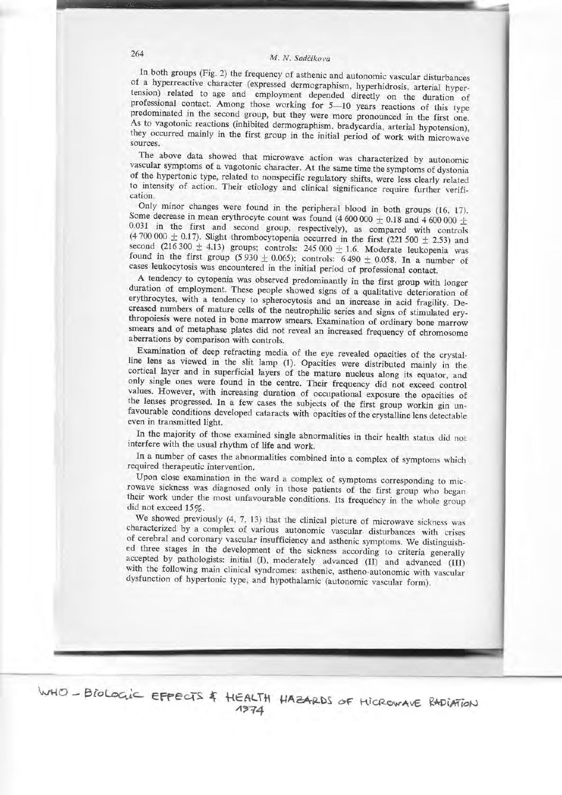# 264 M. N. sadéikova

..lrtL.J\*

In both groups (Fig. 2) the frequency of asthenic and autonomic vascular disturbances<br>of a hyperreactive character (expressed dermographism, hyperhidrosis, arterial hypertension) related to age and employment depended directly on the duration of professional contact. Among those working for  $5-10$  years reactions of this type predominated in the second group, but they were more pronounced atterial hypotension).<br>work with microwave sources.

The above data showed that microwave action was characterized by autonomic vascular symptoms of a vagotonic character. At the same time the symptoms of dystonia of the hypertonic type, related to nonspecific regulatory shi

Only minor changes were found in the peripheral blood in both groups (16, 17). Some decrease in mean erythrocyte count was found (4 600 000  $\pm$  0.18 and 4 600 000  $\pm$ 0.031 in the first and second group, respectively), as compared with controls (4700 000  $\pm$  0.17). Slight thrombocytopenia occurred in the first (221 500  $\pm$  2.53) and second (216 300  $\pm$  4.13) groups; controls: 245 00 cases leukocytosis was encountered in the initial period of professional contact.<br>A tendency to cytopenia was observed predominantly in the first group with longer

A tendency to cytopenia was observed predominantly in the first group with longer<br>duration of employment. These people showed signs of a qualitative deterioration of<br>erythrocytes, with a tendency to spherocytosis and an in thropoiesis were noted in bone marrow smears. Examination of ordinary bone marrow smears and of metaphase plates did not reveal an increased frequency of chromosome aberrations by comparison with controls.

Examination of deep refracting media of the eye revealed opacities of the crystal-<br>line lens as viewed in the slit lamp (1). Opacities were distributed mainly in the cortical layer and in superficial layers of the mature nucleus along its equator, and<br>only single ones were found in the centre. Their frequency did not exceed control<br>values. However, with increasing duration of occupatio even in transmitted light.

In the majority of those examined single abnormalities in their health status did not interfere with the usual rhythm of life and work.

In a number of cases the abnormalities combined into a complex of symptoms which required therapeutic intervention.

Upon close examination in the ward a complex of symptoms corresponding to microwave sickness was diagnosed only in those patients of the first group who began their work under the most unfavourable conditions. Its frequency in the whole group did not exceed 15%.<br>We showed previously  $(4, 7, 13)$  that the clinical picture of microwave sickness was

characterized by a complex of various autonomic vascular disturbances with crises<br>of cerebral and coronary vascular insufficiency and asthenic symptoms. We distinguished<br>three stages in the development of the sickness acco with the following main clinical syndromes: asthenic, astheno-autonomic with vascular dysfunction of hypertonic type, and hypothalamic (autonomic vascular form).

WHO - BioLogic EFFECTS & HEALTH HAZARDS OF HICROWAVE RADIATION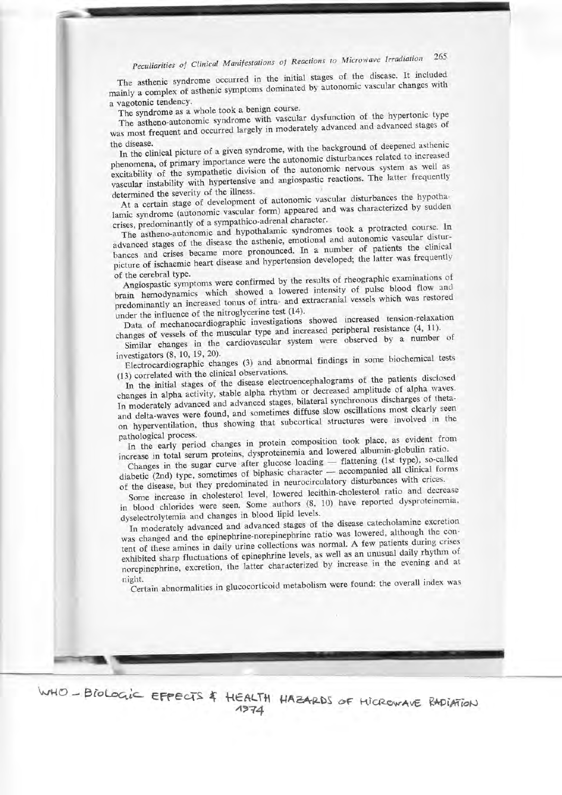### Peculiarities of Clinical Manifestations of Reactions to Microwave Irradiation 265

The asthenic syndrome occurred in the initial stages of the disease. It included mainly a complex of asthenic symptoms dominated by autonomic vascular changes with a vagotonic tendency.

The syndrome as a whole took a benign course.

The astheno-autonomic syndrome with vascular dysfunction of the hypertonic type was most frequent and occurred largely in moderately advanced and advanced stages of the disease.

In the clinical picture of a given syndrome, with the background of deepened asthenic phenomena, of primary importance were the autonomic disturbances related to increased excitability of the sympathetic division of the autonomic nervous system as well as vascular instability with hypertensive and angiospastic reactions. The latter frequently determined the severity of the illness.

At a certain stage of development of autonomic vascular disturbances the hypothalamic syndrome (autonomic vascular form) appeared and was characterized by sudden crises, predominantly of a sympathico-adrenal character.

The astheno-autonomic and hypothalamic syndromes took a protracted course. In advanced stages of the disease the asthenic, emotional and autonomic vascular disturbances and crises became more pronounced. In a number of patients the clinical picture of ischaemic heart disease and hypertension developed; the latter was frequently of the cerebral type.

Angiospastic symptoms were confirmed by the results of rheographic examinations of brain hemodynamics which showed a lowered intensity of pulse blood flow and predominantly an increased tonus of intra- and extracranial vessels which was restored under the influence of the nitroglycerine test (14).

Data of mechanocardiographic investigations showed increased tension-relaxation changes of vessels of the muscular type and increased peripheral resistance (4, 11).

Similar changes in the cardiovascular system were observed by a number of

investigators (8, 10, 19, 20). Electrocardiographic changes (3) and abnormal findings in some biochemical tests (13) correlated with the clinical observations.

In the initial stages of the disease electroencephalograms of the patients disclosed changes in alpha activity, stable alpha rhythm or decreased amplitude of alpha waves. In moderately advanced and advanced stages, bilateral synchronous discharges of thetaand delta-waves were found, and sometimes diffuse slow oscillations most clearly seen on hyperventilation, thus showing that subcortical structures were involved in the pathological process.

In the early period changes in protein composition took place, as evident from increase in total serum proteins, dysproteinemia and lowered albumin-globulin ratio.

Changes in the sugar curve after glucose loading — flattening (1st type), so-called<br>diabetic (2nd) type, sometimes of biphasic character — accompanied all clinical forms of the disease, but they predominated in neurocirculatory disturbances with crices.

Some increase in cholesterol level, lowered lecithin-cholesterol ratio and decrease in blood chlorides were seen. Some authors (8, 10) have reported dysproteinemia, dyselectrolytemia and changes in blood lipid levels.

In moderately advanced and advanced stages of the disease catecholamine excretion was changed and the epinephrine-norepinephrine ratio was lowered, although the content of these amines in daily urine collections was normal. A few patients during crises exhibited sharp fluctuations of epinephrine levels, as well as an unusual daily rhythm of norepinephrine, excretion, the latter characterized by increase in the evening and at night.

Certain abnormalities in glucocorticoid metabolism were found: the overall index was

WHO - BioLogic EFFECTS & HEALTH HAZARDS OF HICROWAVE RADIATION 1974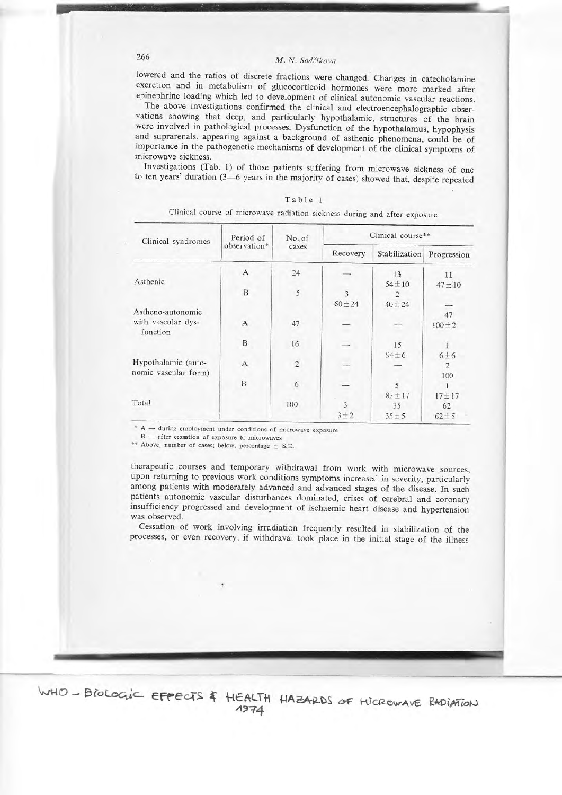### M. N. Sadčikova

lowered and the ratios of discrete fractions were changed. Changes in catecholamine excretion and in metabolism of glucocorticoid hormones were more marked after epinephrine loading which led to development of clinical autonomic vascular reactions.

The above investigations confirmed the clinical and electroencephalographic observations showing that deep, and particularly hypothalamic, structures of the brain were involved in pathological processes. Dysfunction of the hypothalamus, hypophysis and suprarenals, appearing against a background of asthenic phenomena, could be of importance in the pathogenetic mechanisms of development of the clinical symptoms of microwave sickness.

Investigations (Tab. 1) of those patients suffering from microwave sickness of one to ten years' duration (3-6 years in the majority of cases) showed that, despite repeated

| Clinical syndromes             | Period of<br>observation* | No. of<br>cases | Clinical course**        |               |                |  |  |
|--------------------------------|---------------------------|-----------------|--------------------------|---------------|----------------|--|--|
|                                |                           |                 | Recovery                 | Stabilization | Progression    |  |  |
|                                | $\mathbf{A}$              | 24              |                          | 13            | 11             |  |  |
| Asthenic                       |                           |                 |                          | $54 \pm 10$   | $47 \pm 10$    |  |  |
|                                | $\, {\bf B}$              | $\sqrt{5}$      | 3                        |               |                |  |  |
|                                |                           |                 | $60 \pm 24$              | $40 \pm 24$   |                |  |  |
| Astheno-autonomic              |                           |                 |                          |               | 47             |  |  |
| with vascular dys-<br>function | A                         | 47              | Ŧ                        |               | $100 + 2$      |  |  |
|                                | $\, {\bf B}$              | .16             | $\overline{\phantom{0}}$ | 15            |                |  |  |
|                                |                           |                 |                          | $94 \pm 6$    | $6\pm6$        |  |  |
| Hypothalamic (auto-            | $\mathbf{A}$              | $\overline{2}$  | $\overline{a}$           |               | $\overline{2}$ |  |  |
| nomic vascular form)           |                           |                 |                          |               | 100            |  |  |
|                                | $\boldsymbol{B}$          | 6               | $\overline{\phantom{0}}$ | 5             |                |  |  |
|                                |                           |                 |                          | $83 + 17$     | $17 + 17$      |  |  |
| Total                          |                           | 100             | $\overline{\mathbf{3}}$  | 35            | 62             |  |  |
|                                |                           |                 | $3 + 2$                  | $35 + 5$      | $62 + 5$       |  |  |

| Table 1 |  |  |                                                                           |  |  |  |  |  |  |  |  |
|---------|--|--|---------------------------------------------------------------------------|--|--|--|--|--|--|--|--|
|         |  |  | Clinical course of microwave radiation sickness during and after exposure |  |  |  |  |  |  |  |  |

\* A - during employment under conditions of microwave exposure

 $B$  - after cessation of exposure to microwaves \*\* Above, number of cases; below, percentage  $\pm$  S.E.

therapeutic courses and temporary withdrawal from work with microwave sources, upon returning to previous work conditions symptoms increased in severity, particularly among patients with moderately advanced and advanced stages of the disease. In such patients autonomic vascular disturbances dominated, crises of cerebral and coronary insufficiency progressed and development of ischaemic heart disease and hypertension was observed.

Cessation of work involving irradiation frequently resulted in stabilization of the processes, or even recovery, if withdraval took place in the initial stage of the illness

WHO - BIOLOGIC EFFECTS & HEALTH HAZARDS OF HIGROWAVE RADIATION  $1974$ 

## 266